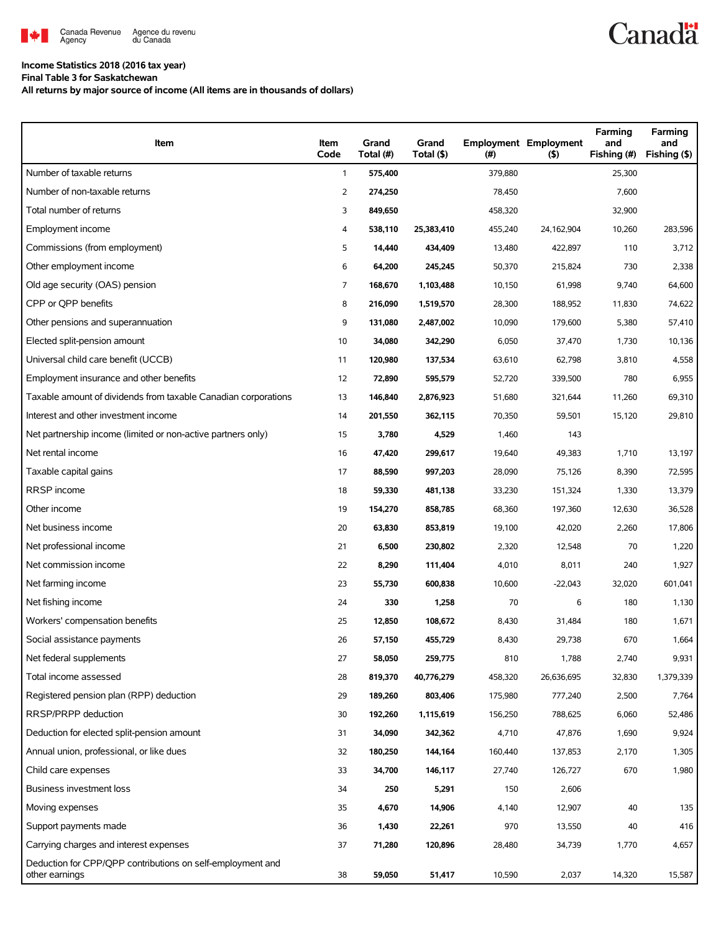

## **Income Statistics 2018 (2016 tax year)**

**Final Table 3 for Saskatchewan**

**All returns by major source of income (All items are in thousands of dollars)**

| Item                                                                         | Item<br>Code   | Grand<br>Total (#) | Grand<br>Total (\$) | (#)     | <b>Employment Employment</b><br>(5) | Farming<br>and<br>Fishing (#) | Farming<br>and<br>Fishing (\$) |
|------------------------------------------------------------------------------|----------------|--------------------|---------------------|---------|-------------------------------------|-------------------------------|--------------------------------|
| Number of taxable returns                                                    | $\mathbf{1}$   | 575,400            |                     | 379,880 |                                     | 25,300                        |                                |
| Number of non-taxable returns                                                | $\overline{2}$ | 274,250            |                     | 78,450  |                                     | 7,600                         |                                |
| Total number of returns                                                      | 3              | 849,650            |                     | 458,320 |                                     | 32,900                        |                                |
| Employment income                                                            | 4              | 538,110            | 25,383,410          | 455,240 | 24,162,904                          | 10,260                        | 283,596                        |
| Commissions (from employment)                                                | 5              | 14,440             | 434,409             | 13,480  | 422,897                             | 110                           | 3,712                          |
| Other employment income                                                      | 6              | 64,200             | 245,245             | 50,370  | 215,824                             | 730                           | 2,338                          |
| Old age security (OAS) pension                                               | 7              | 168,670            | 1,103,488           | 10,150  | 61,998                              | 9,740                         | 64,600                         |
| CPP or QPP benefits                                                          | 8              | 216,090            | 1,519,570           | 28,300  | 188,952                             | 11,830                        | 74,622                         |
| Other pensions and superannuation                                            | 9              | 131,080            | 2,487,002           | 10,090  | 179,600                             | 5,380                         | 57,410                         |
| Elected split-pension amount                                                 | 10             | 34,080             | 342,290             | 6,050   | 37,470                              | 1,730                         | 10,136                         |
| Universal child care benefit (UCCB)                                          | 11             | 120,980            | 137,534             | 63,610  | 62,798                              | 3,810                         | 4,558                          |
| Employment insurance and other benefits                                      | 12             | 72,890             | 595,579             | 52,720  | 339,500                             | 780                           | 6,955                          |
| Taxable amount of dividends from taxable Canadian corporations               | 13             | 146,840            | 2,876,923           | 51,680  | 321,644                             | 11,260                        | 69,310                         |
| Interest and other investment income                                         | 14             | 201,550            | 362,115             | 70,350  | 59,501                              | 15,120                        | 29,810                         |
| Net partnership income (limited or non-active partners only)                 | 15             | 3,780              | 4,529               | 1,460   | 143                                 |                               |                                |
| Net rental income                                                            | 16             | 47,420             | 299,617             | 19,640  | 49,383                              | 1,710                         | 13,197                         |
| Taxable capital gains                                                        | 17             | 88,590             | 997,203             | 28,090  | 75,126                              | 8,390                         | 72,595                         |
| <b>RRSP</b> income                                                           | 18             | 59,330             | 481,138             | 33,230  | 151,324                             | 1,330                         | 13,379                         |
| Other income                                                                 | 19             | 154,270            | 858,785             | 68,360  | 197,360                             | 12,630                        | 36,528                         |
| Net business income                                                          | 20             | 63,830             | 853,819             | 19,100  | 42,020                              | 2,260                         | 17,806                         |
| Net professional income                                                      | 21             | 6,500              | 230,802             | 2,320   | 12,548                              | 70                            | 1,220                          |
| Net commission income                                                        | 22             | 8,290              | 111,404             | 4,010   | 8,011                               | 240                           | 1,927                          |
| Net farming income                                                           | 23             | 55,730             | 600,838             | 10,600  | $-22,043$                           | 32,020                        | 601,041                        |
| Net fishing income                                                           | 24             | 330                | 1,258               | 70      | 6                                   | 180                           | 1,130                          |
| Workers' compensation benefits                                               | 25             | 12,850             | 108,672             | 8,430   | 31,484                              | 180                           | 1,671                          |
| Social assistance payments                                                   | 26             | 57,150             | 455,729             | 8,430   | 29,738                              | 670                           | 1,664                          |
| Net federal supplements                                                      | 27             | 58,050             | 259,775             | 810     | 1,788                               | 2,740                         | 9,931                          |
| Total income assessed                                                        | 28             | 819,370            | 40,776,279          | 458,320 | 26,636,695                          | 32,830                        | 1,379,339                      |
| Registered pension plan (RPP) deduction                                      | 29             | 189,260            | 803,406             | 175,980 | 777,240                             | 2,500                         | 7,764                          |
| RRSP/PRPP deduction                                                          | 30             | 192,260            | 1,115,619           | 156,250 | 788,625                             | 6,060                         | 52,486                         |
| Deduction for elected split-pension amount                                   | 31             | 34,090             | 342,362             | 4,710   | 47,876                              | 1,690                         | 9,924                          |
| Annual union, professional, or like dues                                     | 32             | 180,250            | 144,164             | 160,440 | 137,853                             | 2,170                         | 1,305                          |
| Child care expenses                                                          | 33             | 34,700             | 146,117             | 27,740  | 126,727                             | 670                           | 1,980                          |
| Business investment loss                                                     | 34             | 250                | 5,291               | 150     | 2,606                               |                               |                                |
| Moving expenses                                                              | 35             | 4,670              | 14,906              | 4,140   | 12,907                              | 40                            | 135                            |
| Support payments made                                                        | 36             | 1,430              | 22,261              | 970     | 13,550                              | 40                            | 416                            |
| Carrying charges and interest expenses                                       | 37             | 71,280             | 120,896             | 28,480  | 34,739                              | 1,770                         | 4,657                          |
| Deduction for CPP/QPP contributions on self-employment and<br>other earnings | 38             | 59,050             | 51,417              | 10,590  | 2,037                               | 14,320                        | 15,587                         |

**Canadä**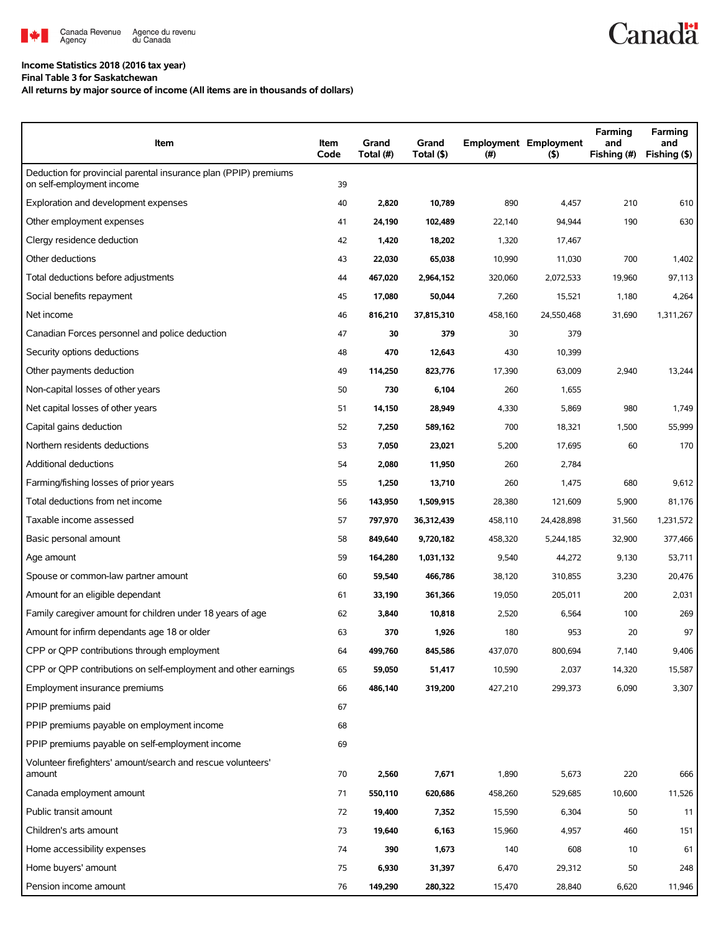

## **Income Statistics 2018 (2016 tax year)**

**Final Table 3 for Saskatchewan**

**All returns by major source of income (All items are in thousands of dollars)**

| Item                                                                                          | Item<br>Code | Grand<br>Total (#) | Grand<br>Total (\$) | (#)     | <b>Employment Employment</b><br>$($ \$) | Farming<br>and<br>Fishing (#) | Farming<br>and<br>Fishing (\$) |
|-----------------------------------------------------------------------------------------------|--------------|--------------------|---------------------|---------|-----------------------------------------|-------------------------------|--------------------------------|
| Deduction for provincial parental insurance plan (PPIP) premiums<br>on self-employment income | 39           |                    |                     |         |                                         |                               |                                |
| Exploration and development expenses                                                          | 40           | 2,820              | 10,789              | 890     | 4,457                                   | 210                           | 610                            |
| Other employment expenses                                                                     | 41           | 24,190             | 102,489             | 22,140  | 94,944                                  | 190                           | 630                            |
| Clergy residence deduction                                                                    | 42           | 1,420              | 18,202              | 1,320   | 17,467                                  |                               |                                |
| Other deductions                                                                              | 43           | 22,030             | 65,038              | 10,990  | 11,030                                  | 700                           | 1,402                          |
| Total deductions before adjustments                                                           | 44           | 467,020            | 2,964,152           | 320,060 | 2,072,533                               | 19,960                        | 97,113                         |
| Social benefits repayment                                                                     | 45           | 17,080             | 50,044              | 7,260   | 15,521                                  | 1,180                         | 4,264                          |
| Net income                                                                                    | 46           | 816,210            | 37,815,310          | 458,160 | 24,550,468                              | 31,690                        | 1,311,267                      |
| Canadian Forces personnel and police deduction                                                | 47           | 30                 | 379                 | 30      | 379                                     |                               |                                |
| Security options deductions                                                                   | 48           | 470                | 12,643              | 430     | 10,399                                  |                               |                                |
| Other payments deduction                                                                      | 49           | 114,250            | 823,776             | 17,390  | 63,009                                  | 2,940                         | 13,244                         |
| Non-capital losses of other years                                                             | 50           | 730                | 6,104               | 260     | 1,655                                   |                               |                                |
| Net capital losses of other years                                                             | 51           | 14,150             | 28,949              | 4,330   | 5,869                                   | 980                           | 1,749                          |
| Capital gains deduction                                                                       | 52           | 7,250              | 589,162             | 700     | 18,321                                  | 1,500                         | 55,999                         |
| Northern residents deductions                                                                 | 53           | 7,050              | 23,021              | 5,200   | 17,695                                  | 60                            | 170                            |
| Additional deductions                                                                         | 54           | 2,080              | 11,950              | 260     | 2,784                                   |                               |                                |
| Farming/fishing losses of prior years                                                         | 55           | 1,250              | 13,710              | 260     | 1,475                                   | 680                           | 9,612                          |
| Total deductions from net income                                                              | 56           | 143,950            | 1,509,915           | 28,380  | 121,609                                 | 5,900                         | 81,176                         |
| Taxable income assessed                                                                       | 57           | 797,970            | 36,312,439          | 458,110 | 24,428,898                              | 31,560                        | 1,231,572                      |
| Basic personal amount                                                                         | 58           | 849,640            | 9,720,182           | 458,320 | 5,244,185                               | 32,900                        | 377,466                        |
| Age amount                                                                                    | 59           | 164,280            | 1,031,132           | 9,540   | 44,272                                  | 9,130                         | 53,711                         |
| Spouse or common-law partner amount                                                           | 60           | 59,540             | 466,786             | 38,120  | 310,855                                 | 3,230                         | 20,476                         |
| Amount for an eligible dependant                                                              | 61           | 33,190             | 361,366             | 19,050  | 205,011                                 | 200                           | 2,031                          |
| Family caregiver amount for children under 18 years of age                                    | 62           | 3,840              | 10,818              | 2,520   | 6,564                                   | 100                           | 269                            |
| Amount for infirm dependants age 18 or older                                                  | 63           | 370                | 1,926               | 180     | 953                                     | 20                            | 97                             |
| CPP or QPP contributions through employment                                                   | 64           | 499,760            | 845,586             | 437,070 | 800,694                                 | 7,140                         | 9,406                          |
| CPP or OPP contributions on self-employment and other earnings                                | 65           | 59,050             | 51,417              | 10,590  | 2,037                                   | 14,320                        | 15,587                         |
| Employment insurance premiums                                                                 | 66           | 486,140            | 319,200             | 427,210 | 299,373                                 | 6,090                         | 3,307                          |
| PPIP premiums paid                                                                            | 67           |                    |                     |         |                                         |                               |                                |
| PPIP premiums payable on employment income                                                    | 68           |                    |                     |         |                                         |                               |                                |
| PPIP premiums payable on self-employment income                                               | 69           |                    |                     |         |                                         |                               |                                |
| Volunteer firefighters' amount/search and rescue volunteers'<br>amount                        | 70           | 2,560              | 7,671               | 1,890   | 5,673                                   | 220                           | 666                            |
| Canada employment amount                                                                      | 71           | 550,110            | 620,686             | 458,260 | 529,685                                 | 10,600                        | 11,526                         |
| Public transit amount                                                                         | 72           | 19,400             | 7,352               | 15,590  | 6,304                                   | 50                            | 11                             |
| Children's arts amount                                                                        | 73           | 19,640             | 6,163               | 15,960  | 4,957                                   | 460                           | 151                            |
| Home accessibility expenses                                                                   | 74           | 390                | 1,673               | 140     | 608                                     | 10                            | 61                             |
| Home buyers' amount                                                                           | 75           | 6,930              | 31,397              | 6,470   | 29,312                                  | 50                            | 248                            |
| Pension income amount                                                                         | 76           | 149,290            | 280,322             | 15,470  | 28,840                                  | 6,620                         | 11,946                         |

**Canadä**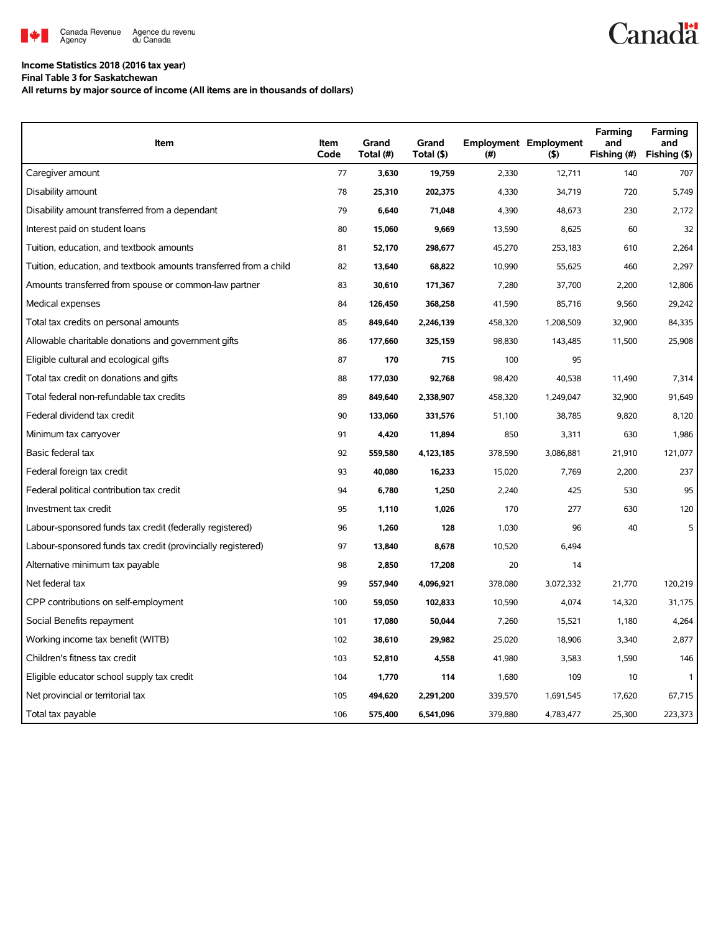

## **Income Statistics 2018 (2016 tax year)**

**Final Table 3 for Saskatchewan**

**All returns by major source of income (All items are in thousands of dollars)**

| Item                                                              | Item<br>Code | Grand<br>Total (#) | Grand<br>Total (\$) | (#)     | <b>Employment Employment</b><br>(5) | Farming<br>and<br>Fishing (#) | Farming<br>and<br>Fishing (\$) |
|-------------------------------------------------------------------|--------------|--------------------|---------------------|---------|-------------------------------------|-------------------------------|--------------------------------|
| Caregiver amount                                                  | 77           | 3,630              | 19,759              | 2,330   | 12,711                              | 140                           | 707                            |
| Disability amount                                                 | 78           | 25,310             | 202,375             | 4,330   | 34,719                              | 720                           | 5,749                          |
| Disability amount transferred from a dependant                    | 79           | 6,640              | 71,048              | 4,390   | 48,673                              | 230                           | 2,172                          |
| Interest paid on student loans                                    | 80           | 15,060             | 9,669               | 13,590  | 8,625                               | 60                            | 32                             |
| Tuition, education, and textbook amounts                          | 81           | 52,170             | 298,677             | 45,270  | 253,183                             | 610                           | 2,264                          |
| Tuition, education, and textbook amounts transferred from a child | 82           | 13,640             | 68,822              | 10,990  | 55,625                              | 460                           | 2,297                          |
| Amounts transferred from spouse or common-law partner             | 83           | 30,610             | 171,367             | 7,280   | 37,700                              | 2,200                         | 12,806                         |
| Medical expenses                                                  | 84           | 126,450            | 368,258             | 41,590  | 85,716                              | 9,560                         | 29,242                         |
| Total tax credits on personal amounts                             | 85           | 849,640            | 2,246,139           | 458,320 | 1,208,509                           | 32,900                        | 84,335                         |
| Allowable charitable donations and government gifts               | 86           | 177,660            | 325,159             | 98,830  | 143,485                             | 11,500                        | 25,908                         |
| Eligible cultural and ecological gifts                            | 87           | 170                | 715                 | 100     | 95                                  |                               |                                |
| Total tax credit on donations and gifts                           | 88           | 177,030            | 92,768              | 98,420  | 40,538                              | 11,490                        | 7,314                          |
| Total federal non-refundable tax credits                          | 89           | 849,640            | 2,338,907           | 458,320 | 1,249,047                           | 32,900                        | 91,649                         |
| Federal dividend tax credit                                       | 90           | 133,060            | 331,576             | 51,100  | 38,785                              | 9,820                         | 8,120                          |
| Minimum tax carryover                                             | 91           | 4,420              | 11,894              | 850     | 3,311                               | 630                           | 1,986                          |
| Basic federal tax                                                 | 92           | 559,580            | 4,123,185           | 378,590 | 3,086,881                           | 21,910                        | 121,077                        |
| Federal foreign tax credit                                        | 93           | 40,080             | 16,233              | 15,020  | 7,769                               | 2,200                         | 237                            |
| Federal political contribution tax credit                         | 94           | 6,780              | 1,250               | 2,240   | 425                                 | 530                           | 95                             |
| Investment tax credit                                             | 95           | 1,110              | 1,026               | 170     | 277                                 | 630                           | 120                            |
| Labour-sponsored funds tax credit (federally registered)          | 96           | 1,260              | 128                 | 1,030   | 96                                  | 40                            | 5                              |
| Labour-sponsored funds tax credit (provincially registered)       | 97           | 13,840             | 8,678               | 10,520  | 6,494                               |                               |                                |
| Alternative minimum tax payable                                   | 98           | 2,850              | 17,208              | 20      | 14                                  |                               |                                |
| Net federal tax                                                   | 99           | 557,940            | 4,096,921           | 378,080 | 3,072,332                           | 21,770                        | 120,219                        |
| CPP contributions on self-employment                              | 100          | 59,050             | 102,833             | 10,590  | 4,074                               | 14,320                        | 31,175                         |
| Social Benefits repayment                                         | 101          | 17,080             | 50,044              | 7,260   | 15,521                              | 1,180                         | 4,264                          |
| Working income tax benefit (WITB)                                 | 102          | 38,610             | 29,982              | 25,020  | 18,906                              | 3,340                         | 2,877                          |
| Children's fitness tax credit                                     | 103          | 52,810             | 4,558               | 41,980  | 3,583                               | 1,590                         | 146                            |
| Eligible educator school supply tax credit                        | 104          | 1,770              | 114                 | 1,680   | 109                                 | 10                            | $\mathbf{1}$                   |
| Net provincial or territorial tax                                 | 105          | 494,620            | 2,291,200           | 339,570 | 1,691,545                           | 17,620                        | 67,715                         |
| Total tax payable                                                 | 106          | 575,400            | 6,541,096           | 379,880 | 4,783,477                           | 25,300                        | 223,373                        |

## **Canadä**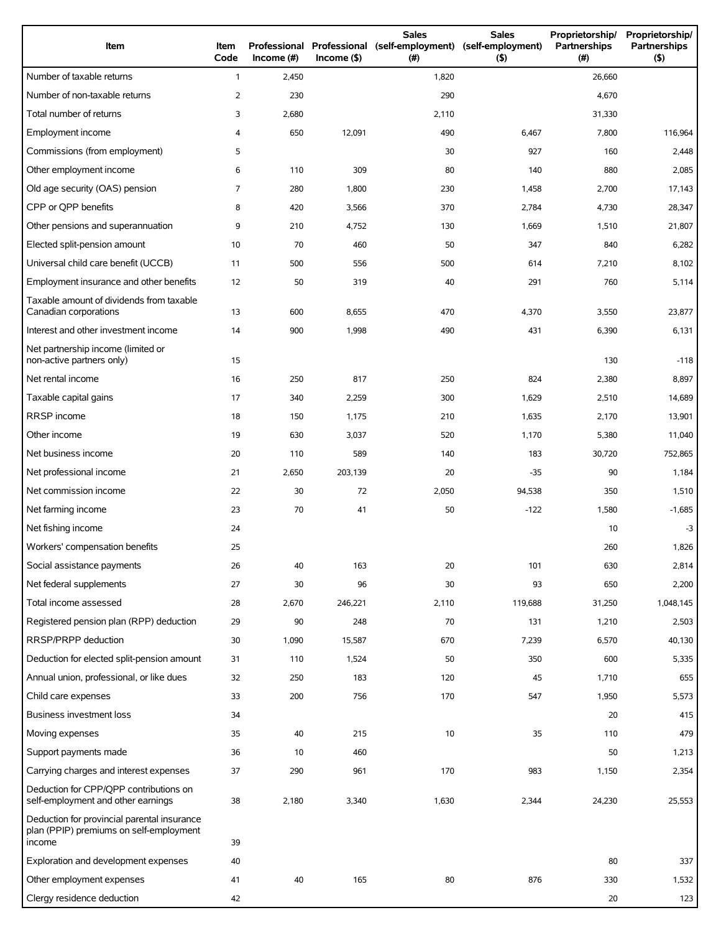| Item                                                                                             | Item<br>Code   | Professional<br>Income $(\#)$ | $Income($ \$) | <b>Sales</b><br>Professional (self-employment)<br>(# ) | <b>Sales</b><br>(self-employment)<br>(5) | Proprietorship/<br>Partnerships<br>(#) | Proprietorship/<br>Partnerships<br>(5) |
|--------------------------------------------------------------------------------------------------|----------------|-------------------------------|---------------|--------------------------------------------------------|------------------------------------------|----------------------------------------|----------------------------------------|
| Number of taxable returns                                                                        | $\mathbf{1}$   | 2,450                         |               | 1,820                                                  |                                          | 26,660                                 |                                        |
| Number of non-taxable returns                                                                    | $\overline{2}$ | 230                           |               | 290                                                    |                                          | 4,670                                  |                                        |
| Total number of returns                                                                          | 3              | 2,680                         |               | 2,110                                                  |                                          | 31,330                                 |                                        |
| Employment income                                                                                | 4              | 650                           | 12,091        | 490                                                    | 6,467                                    | 7,800                                  | 116,964                                |
| Commissions (from employment)                                                                    | 5              |                               |               | 30                                                     | 927                                      | 160                                    | 2,448                                  |
| Other employment income                                                                          | 6              | 110                           | 309           | 80                                                     | 140                                      | 880                                    | 2,085                                  |
| Old age security (OAS) pension                                                                   | 7              | 280                           | 1,800         | 230                                                    | 1,458                                    | 2,700                                  | 17,143                                 |
| CPP or QPP benefits                                                                              | 8              | 420                           | 3,566         | 370                                                    | 2,784                                    | 4,730                                  | 28,347                                 |
| Other pensions and superannuation                                                                | 9              | 210                           | 4,752         | 130                                                    | 1,669                                    | 1,510                                  | 21,807                                 |
| Elected split-pension amount                                                                     | 10             | 70                            | 460           | 50                                                     | 347                                      | 840                                    | 6,282                                  |
| Universal child care benefit (UCCB)                                                              | 11             | 500                           | 556           | 500                                                    | 614                                      | 7,210                                  | 8,102                                  |
| Employment insurance and other benefits                                                          | 12             | 50                            | 319           | 40                                                     | 291                                      | 760                                    | 5,114                                  |
| Taxable amount of dividends from taxable<br>Canadian corporations                                | 13             | 600                           | 8,655         | 470                                                    | 4,370                                    | 3,550                                  | 23,877                                 |
| Interest and other investment income                                                             | 14             | 900                           | 1,998         | 490                                                    | 431                                      | 6,390                                  | 6,131                                  |
| Net partnership income (limited or<br>non-active partners only)                                  | 15             |                               |               |                                                        |                                          | 130                                    | $-118$                                 |
| Net rental income                                                                                | 16             | 250                           | 817           | 250                                                    | 824                                      | 2,380                                  | 8,897                                  |
| Taxable capital gains                                                                            | 17             | 340                           | 2,259         | 300                                                    | 1,629                                    | 2,510                                  | 14,689                                 |
| RRSP income                                                                                      | 18             | 150                           | 1,175         | 210                                                    | 1,635                                    | 2,170                                  | 13,901                                 |
| Other income                                                                                     | 19             | 630                           | 3,037         | 520                                                    | 1,170                                    | 5,380                                  | 11,040                                 |
| Net business income                                                                              | 20             | 110                           | 589           | 140                                                    | 183                                      | 30,720                                 | 752,865                                |
| Net professional income                                                                          | 21             | 2,650                         | 203,139       | 20                                                     | $-35$                                    | 90                                     | 1,184                                  |
| Net commission income                                                                            | 22             | 30                            | 72            | 2,050                                                  | 94,538                                   | 350                                    | 1,510                                  |
| Net farming income                                                                               | 23             | 70                            | 41            | 50                                                     | $-122$                                   | 1,580                                  | $-1,685$                               |
| Net fishing income                                                                               | 24             |                               |               |                                                        |                                          | 10                                     | $-3$                                   |
| Workers' compensation benefits                                                                   | 25             |                               |               |                                                        |                                          | 260                                    | 1,826                                  |
| Social assistance payments                                                                       | 26             | 40                            | 163           | 20                                                     | 101                                      | 630                                    | 2,814                                  |
| Net federal supplements                                                                          | 27             | 30                            | 96            | 30                                                     | 93                                       | 650                                    | 2,200                                  |
| Total income assessed                                                                            | 28             | 2,670                         | 246,221       | 2,110                                                  | 119,688                                  | 31,250                                 | 1,048,145                              |
| Registered pension plan (RPP) deduction                                                          | 29             | 90                            | 248           | 70                                                     | 131                                      | 1,210                                  | 2,503                                  |
| RRSP/PRPP deduction                                                                              | 30             | 1,090                         | 15,587        | 670                                                    | 7,239                                    | 6,570                                  | 40,130                                 |
| Deduction for elected split-pension amount                                                       | 31             | 110                           | 1,524         | 50                                                     | 350                                      | 600                                    | 5,335                                  |
| Annual union, professional, or like dues                                                         | 32             | 250                           | 183           | 120                                                    | 45                                       | 1,710                                  | 655                                    |
| Child care expenses                                                                              | 33             | 200                           | 756           | 170                                                    | 547                                      | 1,950                                  | 5,573                                  |
| <b>Business investment loss</b>                                                                  | 34             |                               |               |                                                        |                                          | 20                                     | 415                                    |
| Moving expenses                                                                                  | 35             | 40                            | 215           | 10                                                     | 35                                       | 110                                    | 479                                    |
| Support payments made                                                                            | 36             | 10                            | 460           |                                                        |                                          | 50                                     | 1,213                                  |
| Carrying charges and interest expenses                                                           | 37             | 290                           | 961           | 170                                                    | 983                                      | 1,150                                  | 2,354                                  |
| Deduction for CPP/QPP contributions on<br>self-employment and other earnings                     | 38             | 2,180                         | 3,340         | 1,630                                                  | 2,344                                    | 24,230                                 | 25,553                                 |
| Deduction for provincial parental insurance<br>plan (PPIP) premiums on self-employment<br>income | 39             |                               |               |                                                        |                                          |                                        |                                        |
| Exploration and development expenses                                                             | 40             |                               |               |                                                        |                                          | 80                                     | 337                                    |
| Other employment expenses                                                                        | 41             | 40                            | 165           | 80                                                     | 876                                      | 330                                    | 1,532                                  |
| Clergy residence deduction                                                                       | 42             |                               |               |                                                        |                                          | 20                                     | 123                                    |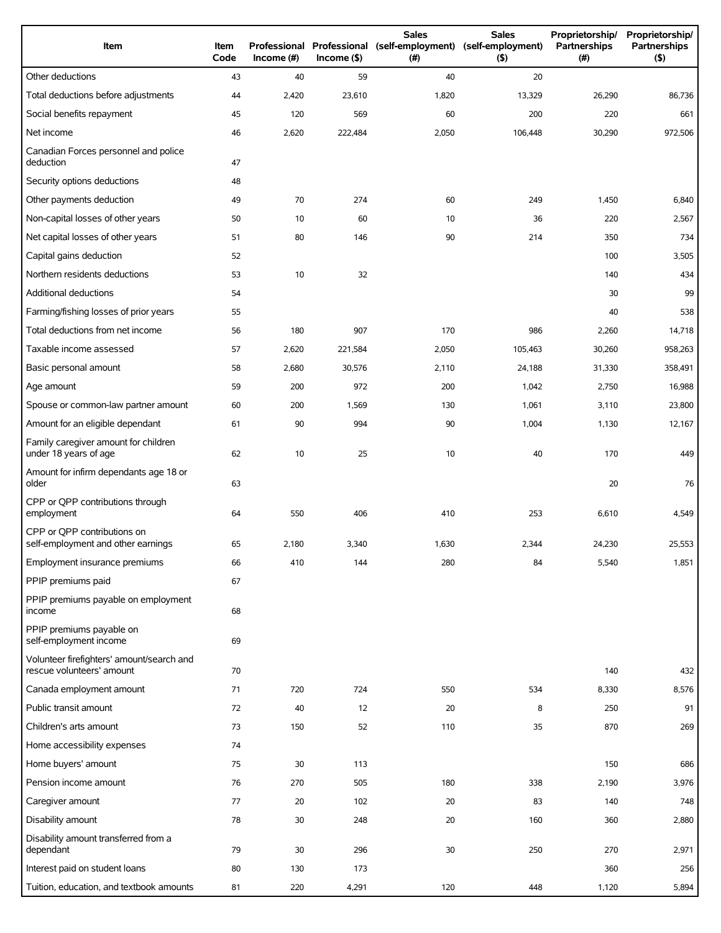| Item                                                                   | <b>Item</b><br>Code | Income (#) | $Income$ (\$) | <b>Sales</b><br>Professional Professional (self-employment) (self-employment)<br>(# ) | <b>Sales</b><br>(5) | Proprietorship/<br>Partnerships<br>(# ) | Proprietorship/<br>Partnerships<br>(5) |
|------------------------------------------------------------------------|---------------------|------------|---------------|---------------------------------------------------------------------------------------|---------------------|-----------------------------------------|----------------------------------------|
| Other deductions                                                       | 43                  | 40         | 59            | 40                                                                                    | 20                  |                                         |                                        |
| Total deductions before adjustments                                    | 44                  | 2,420      | 23,610        | 1,820                                                                                 | 13,329              | 26,290                                  | 86,736                                 |
| Social benefits repayment                                              | 45                  | 120        | 569           | 60                                                                                    | 200                 | 220                                     | 661                                    |
| Net income                                                             | 46                  | 2,620      | 222,484       | 2,050                                                                                 | 106,448             | 30,290                                  | 972,506                                |
| Canadian Forces personnel and police<br>deduction                      | 47                  |            |               |                                                                                       |                     |                                         |                                        |
| Security options deductions                                            | 48                  |            |               |                                                                                       |                     |                                         |                                        |
| Other payments deduction                                               | 49                  | 70         | 274           | 60                                                                                    | 249                 | 1,450                                   | 6,840                                  |
| Non-capital losses of other years                                      | 50                  | 10         | 60            | 10                                                                                    | 36                  | 220                                     | 2,567                                  |
| Net capital losses of other years                                      | 51                  | 80         | 146           | 90                                                                                    | 214                 | 350                                     | 734                                    |
| Capital gains deduction                                                | 52                  |            |               |                                                                                       |                     | 100                                     | 3,505                                  |
| Northern residents deductions                                          | 53                  | 10         | 32            |                                                                                       |                     | 140                                     | 434                                    |
| Additional deductions                                                  | 54                  |            |               |                                                                                       |                     | 30                                      | 99                                     |
| Farming/fishing losses of prior years                                  | 55                  |            |               |                                                                                       |                     | 40                                      | 538                                    |
| Total deductions from net income                                       | 56                  | 180        | 907           | 170                                                                                   | 986                 | 2,260                                   | 14,718                                 |
| Taxable income assessed                                                | 57                  | 2,620      | 221,584       | 2,050                                                                                 | 105,463             | 30,260                                  | 958,263                                |
| Basic personal amount                                                  | 58                  | 2,680      | 30,576        | 2,110                                                                                 | 24,188              | 31,330                                  | 358,491                                |
| Age amount                                                             | 59                  | 200        | 972           | 200                                                                                   | 1,042               | 2,750                                   | 16,988                                 |
| Spouse or common-law partner amount                                    | 60                  | 200        | 1,569         | 130                                                                                   | 1,061               | 3,110                                   | 23,800                                 |
| Amount for an eligible dependant                                       | 61                  | 90         | 994           | 90                                                                                    | 1,004               | 1,130                                   | 12,167                                 |
| Family caregiver amount for children<br>under 18 years of age          | 62                  | 10         | 25            | 10                                                                                    | 40                  | 170                                     | 449                                    |
| Amount for infirm dependants age 18 or<br>older                        | 63                  |            |               |                                                                                       |                     | 20                                      | 76                                     |
| CPP or QPP contributions through<br>employment                         | 64                  | 550        | 406           | 410                                                                                   | 253                 | 6,610                                   | 4,549                                  |
| CPP or OPP contributions on<br>self-employment and other earnings      | 65                  | 2,180      | 3,340         | 1,630                                                                                 | 2,344               | 24,230                                  | 25,553                                 |
| Employment insurance premiums                                          | 66                  | 410        | 144           | 280                                                                                   | 84                  | 5,540                                   | 1,851                                  |
| PPIP premiums paid                                                     | 67                  |            |               |                                                                                       |                     |                                         |                                        |
| PPIP premiums payable on employment<br>income                          | 68                  |            |               |                                                                                       |                     |                                         |                                        |
| PPIP premiums payable on<br>self-employment income                     | 69                  |            |               |                                                                                       |                     |                                         |                                        |
| Volunteer firefighters' amount/search and<br>rescue volunteers' amount | 70                  |            |               |                                                                                       |                     | 140                                     | 432                                    |
| Canada employment amount                                               | 71                  | 720        | 724           | 550                                                                                   | 534                 | 8,330                                   | 8,576                                  |
| Public transit amount                                                  | 72                  | 40         | 12            | 20                                                                                    | 8                   | 250                                     | 91                                     |
| Children's arts amount                                                 | 73                  | 150        | 52            | 110                                                                                   | 35                  | 870                                     | 269                                    |
| Home accessibility expenses                                            | 74                  |            |               |                                                                                       |                     |                                         |                                        |
| Home buyers' amount                                                    | 75                  | 30         | 113           |                                                                                       |                     | 150                                     | 686                                    |
| Pension income amount                                                  | 76                  | 270        | 505           | 180                                                                                   | 338                 | 2,190                                   | 3,976                                  |
| Caregiver amount                                                       | 77                  | 20         | 102           | 20                                                                                    | 83                  | 140                                     | 748                                    |
| Disability amount                                                      | 78                  | 30         | 248           | 20                                                                                    | 160                 | 360                                     | 2,880                                  |
| Disability amount transferred from a<br>dependant                      | 79                  | 30         | 296           | 30                                                                                    | 250                 | 270                                     | 2,971                                  |
| Interest paid on student loans                                         | 80                  | 130        | 173           |                                                                                       |                     | 360                                     | 256                                    |
| Tuition, education, and textbook amounts                               | 81                  | 220        | 4,291         | 120                                                                                   | 448                 | 1,120                                   | 5,894                                  |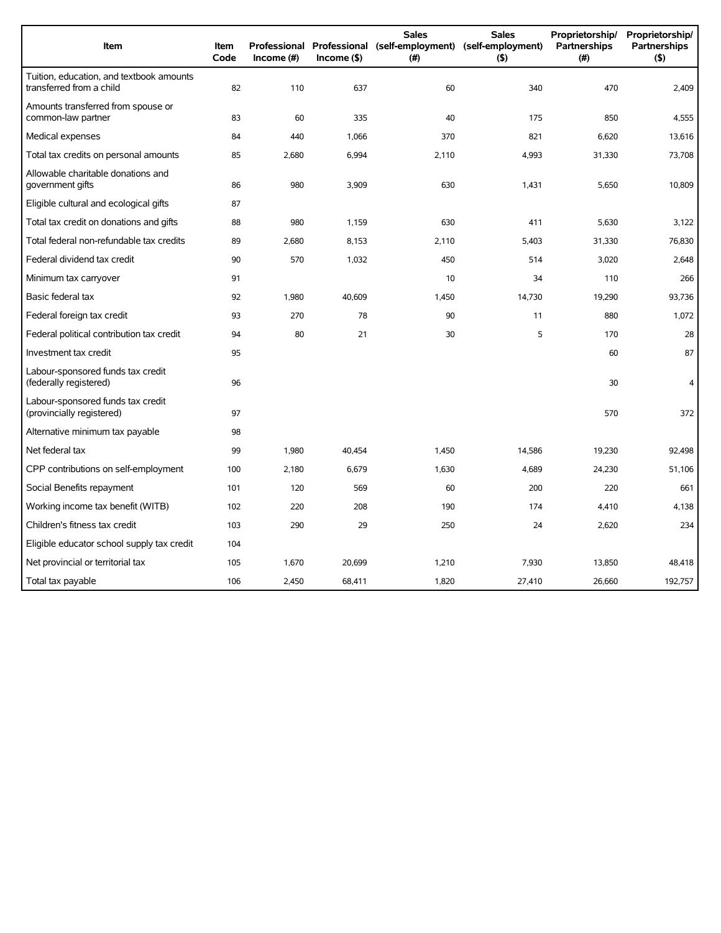| Item                                                                 | <b>Item</b><br>Code | Income (#) | $Income($ \$) | <b>Sales</b><br>Professional Professional (self-employment) (self-employment)<br>(#) | <b>Sales</b><br>$($ \$) | Proprietorship/<br>Partnerships<br>(#) | Proprietorship/<br><b>Partnerships</b><br>(5) |
|----------------------------------------------------------------------|---------------------|------------|---------------|--------------------------------------------------------------------------------------|-------------------------|----------------------------------------|-----------------------------------------------|
| Tuition, education, and textbook amounts<br>transferred from a child | 82                  | 110        | 637           | 60                                                                                   | 340                     | 470                                    | 2,409                                         |
| Amounts transferred from spouse or<br>common-law partner             | 83                  | 60         | 335           | 40                                                                                   | 175                     | 850                                    | 4,555                                         |
| Medical expenses                                                     | 84                  | 440        | 1,066         | 370                                                                                  | 821                     | 6,620                                  | 13,616                                        |
| Total tax credits on personal amounts                                | 85                  | 2,680      | 6,994         | 2,110                                                                                | 4,993                   | 31,330                                 | 73,708                                        |
| Allowable charitable donations and<br>government gifts               | 86                  | 980        | 3,909         | 630                                                                                  | 1,431                   | 5,650                                  | 10,809                                        |
| Eligible cultural and ecological gifts                               | 87                  |            |               |                                                                                      |                         |                                        |                                               |
| Total tax credit on donations and gifts                              | 88                  | 980        | 1,159         | 630                                                                                  | 411                     | 5,630                                  | 3,122                                         |
| Total federal non-refundable tax credits                             | 89                  | 2,680      | 8,153         | 2,110                                                                                | 5,403                   | 31,330                                 | 76,830                                        |
| Federal dividend tax credit                                          | 90                  | 570        | 1,032         | 450                                                                                  | 514                     | 3,020                                  | 2,648                                         |
| Minimum tax carryover                                                | 91                  |            |               | 10                                                                                   | 34                      | 110                                    | 266                                           |
| Basic federal tax                                                    | 92                  | 1,980      | 40,609        | 1,450                                                                                | 14,730                  | 19,290                                 | 93,736                                        |
| Federal foreign tax credit                                           | 93                  | 270        | 78            | 90                                                                                   | 11                      | 880                                    | 1,072                                         |
| Federal political contribution tax credit                            | 94                  | 80         | 21            | 30                                                                                   | 5                       | 170                                    | 28                                            |
| Investment tax credit                                                | 95                  |            |               |                                                                                      |                         | 60                                     | 87                                            |
| Labour-sponsored funds tax credit<br>(federally registered)          | 96                  |            |               |                                                                                      |                         | 30                                     | 4                                             |
| Labour-sponsored funds tax credit<br>(provincially registered)       | 97                  |            |               |                                                                                      |                         | 570                                    | 372                                           |
| Alternative minimum tax payable                                      | 98                  |            |               |                                                                                      |                         |                                        |                                               |
| Net federal tax                                                      | 99                  | 1,980      | 40,454        | 1,450                                                                                | 14,586                  | 19,230                                 | 92,498                                        |
| CPP contributions on self-employment                                 | 100                 | 2,180      | 6,679         | 1,630                                                                                | 4,689                   | 24,230                                 | 51,106                                        |
| Social Benefits repayment                                            | 101                 | 120        | 569           | 60                                                                                   | 200                     | 220                                    | 661                                           |
| Working income tax benefit (WITB)                                    | 102                 | 220        | 208           | 190                                                                                  | 174                     | 4,410                                  | 4,138                                         |
| Children's fitness tax credit                                        | 103                 | 290        | 29            | 250                                                                                  | 24                      | 2,620                                  | 234                                           |
| Eligible educator school supply tax credit                           | 104                 |            |               |                                                                                      |                         |                                        |                                               |
| Net provincial or territorial tax                                    | 105                 | 1,670      | 20,699        | 1,210                                                                                | 7,930                   | 13,850                                 | 48,418                                        |
| Total tax payable                                                    | 106                 | 2,450      | 68,411        | 1,820                                                                                | 27,410                  | 26,660                                 | 192,757                                       |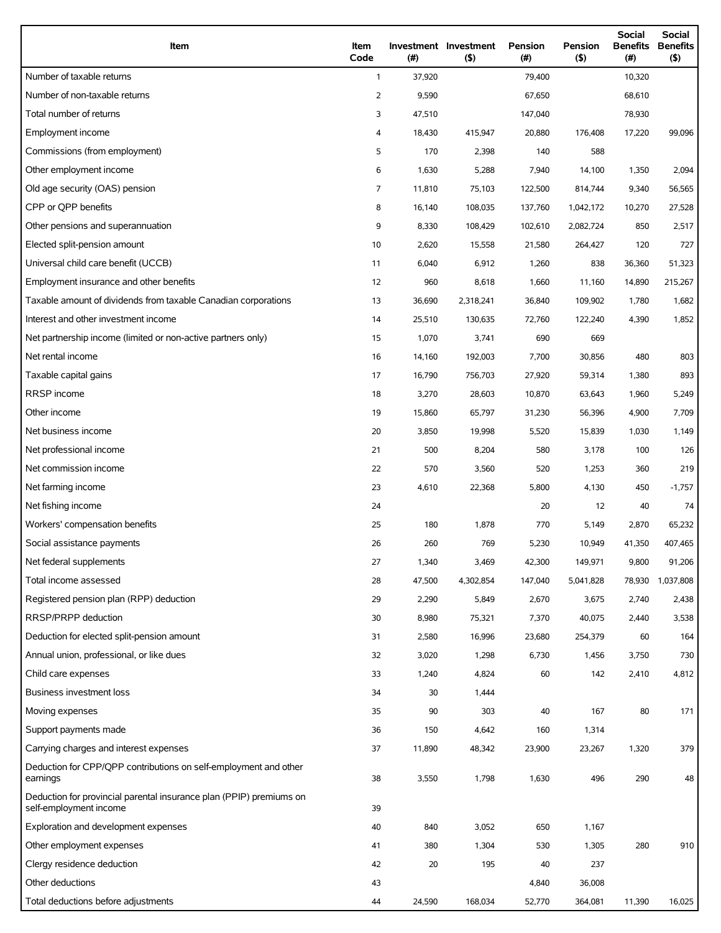| Item                                                                                          | Item<br>Code   | (#)    | Investment Investment<br>$($ \$) | Pension<br>(# ) | Pension<br>$($ \$) | Social<br><b>Benefits</b><br>(#) | Social<br><b>Benefits</b><br>$($ \$) |
|-----------------------------------------------------------------------------------------------|----------------|--------|----------------------------------|-----------------|--------------------|----------------------------------|--------------------------------------|
| Number of taxable returns                                                                     | $\mathbf{1}$   | 37,920 |                                  | 79,400          |                    | 10,320                           |                                      |
| Number of non-taxable returns                                                                 | $\overline{2}$ | 9,590  |                                  | 67,650          |                    | 68,610                           |                                      |
| Total number of returns                                                                       | 3              | 47,510 |                                  | 147,040         |                    | 78,930                           |                                      |
| Employment income                                                                             | 4              | 18,430 | 415,947                          | 20,880          | 176,408            | 17,220                           | 99,096                               |
| Commissions (from employment)                                                                 | 5              | 170    | 2,398                            | 140             | 588                |                                  |                                      |
| Other employment income                                                                       | 6              | 1,630  | 5,288                            | 7,940           | 14,100             | 1,350                            | 2,094                                |
| Old age security (OAS) pension                                                                | $\overline{7}$ | 11,810 | 75,103                           | 122,500         | 814,744            | 9,340                            | 56,565                               |
| CPP or OPP benefits                                                                           | 8              | 16,140 | 108,035                          | 137,760         | 1,042,172          | 10,270                           | 27,528                               |
| Other pensions and superannuation                                                             | 9              | 8,330  | 108,429                          | 102,610         | 2,082,724          | 850                              | 2,517                                |
| Elected split-pension amount                                                                  | 10             | 2,620  | 15,558                           | 21,580          | 264,427            | 120                              | 727                                  |
| Universal child care benefit (UCCB)                                                           | 11             | 6,040  | 6,912                            | 1,260           | 838                | 36,360                           | 51,323                               |
| Employment insurance and other benefits                                                       | 12             | 960    | 8,618                            | 1,660           | 11,160             | 14,890                           | 215,267                              |
| Taxable amount of dividends from taxable Canadian corporations                                | 13             | 36,690 | 2,318,241                        | 36,840          | 109,902            | 1,780                            | 1,682                                |
| Interest and other investment income                                                          | 14             | 25,510 | 130,635                          | 72,760          | 122,240            | 4,390                            | 1,852                                |
| Net partnership income (limited or non-active partners only)                                  | 15             | 1,070  | 3,741                            | 690             | 669                |                                  |                                      |
| Net rental income                                                                             | 16             | 14,160 | 192,003                          | 7,700           | 30,856             | 480                              | 803                                  |
| Taxable capital gains                                                                         | 17             | 16,790 | 756,703                          | 27,920          | 59,314             | 1,380                            | 893                                  |
| RRSP income                                                                                   | 18             | 3,270  | 28,603                           | 10,870          | 63,643             | 1,960                            | 5,249                                |
| Other income                                                                                  | 19             | 15,860 | 65,797                           | 31,230          | 56,396             | 4,900                            | 7,709                                |
| Net business income                                                                           | 20             | 3,850  | 19,998                           | 5,520           | 15,839             | 1,030                            | 1,149                                |
| Net professional income                                                                       | 21             | 500    | 8,204                            | 580             | 3,178              | 100                              | 126                                  |
| Net commission income                                                                         | 22             | 570    | 3,560                            | 520             | 1,253              | 360                              | 219                                  |
| Net farming income                                                                            | 23             | 4,610  | 22,368                           | 5,800           | 4,130              | 450                              | $-1,757$                             |
| Net fishing income                                                                            | 24             |        |                                  | 20              | 12                 | 40                               | 74                                   |
| Workers' compensation benefits                                                                | 25             | 180    | 1,878                            | 770             | 5,149              | 2,870                            | 65,232                               |
| Social assistance payments                                                                    | 26             | 260    | 769                              | 5,230           | 10,949             | 41,350                           | 407,465                              |
| Net federal supplements                                                                       | 27             | 1,340  | 3,469                            | 42,300          | 149,971            | 9,800                            | 91,206                               |
| Total income assessed                                                                         | 28             | 47,500 | 4,302,854                        | 147,040         | 5,041,828          | 78,930                           | 1,037,808                            |
| Registered pension plan (RPP) deduction                                                       | 29             | 2,290  | 5,849                            | 2,670           | 3,675              | 2,740                            | 2,438                                |
| RRSP/PRPP deduction                                                                           | 30             | 8,980  | 75,321                           | 7,370           | 40,075             | 2,440                            | 3,538                                |
| Deduction for elected split-pension amount                                                    | 31             | 2,580  | 16,996                           | 23,680          | 254,379            | 60                               | 164                                  |
| Annual union, professional, or like dues                                                      | 32             | 3,020  | 1,298                            | 6,730           | 1,456              | 3,750                            | 730                                  |
| Child care expenses                                                                           | 33             | 1,240  | 4,824                            | 60              | 142                | 2,410                            | 4,812                                |
| <b>Business investment loss</b>                                                               | 34             | 30     | 1,444                            |                 |                    |                                  |                                      |
| Moving expenses                                                                               | 35             | 90     | 303                              | 40              | 167                | 80                               | 171                                  |
| Support payments made                                                                         | 36             | 150    | 4,642                            | 160             | 1,314              |                                  |                                      |
| Carrying charges and interest expenses                                                        | 37             | 11,890 | 48,342                           | 23,900          | 23,267             | 1,320                            | 379                                  |
| Deduction for CPP/QPP contributions on self-employment and other<br>earnings                  | 38             | 3,550  | 1,798                            | 1,630           | 496                | 290                              | 48                                   |
| Deduction for provincial parental insurance plan (PPIP) premiums on<br>self-employment income | 39             |        |                                  |                 |                    |                                  |                                      |
| Exploration and development expenses                                                          | 40             | 840    | 3,052                            | 650             | 1,167              |                                  |                                      |
| Other employment expenses                                                                     | 41             | 380    | 1,304                            | 530             | 1,305              | 280                              | 910                                  |
| Clergy residence deduction                                                                    | 42             | 20     | 195                              | 40              | 237                |                                  |                                      |
| Other deductions                                                                              | 43             |        |                                  | 4,840           | 36,008             |                                  |                                      |
| Total deductions before adjustments                                                           | 44             | 24,590 | 168,034                          | 52,770          | 364,081            | 11,390                           | 16,025                               |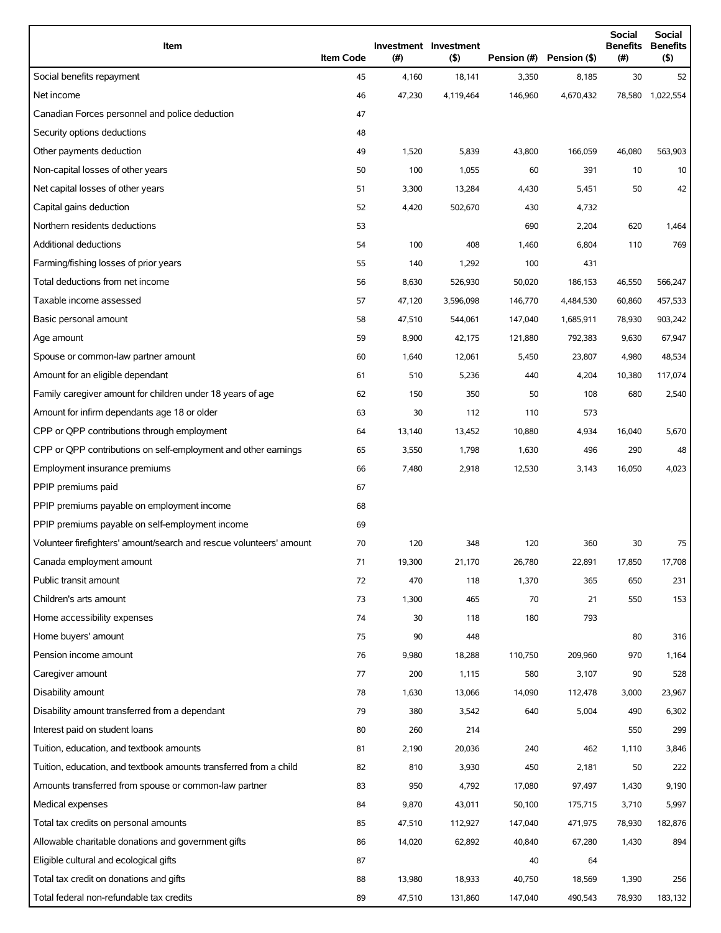| Item                                                                | <b>Item Code</b> | $(\#)$ | Investment Investment<br>(5) | Pension (#) | Pension (\$) | <b>Social</b><br><b>Benefits</b><br>(# ) | <b>Social</b><br><b>Benefits</b><br>(5) |
|---------------------------------------------------------------------|------------------|--------|------------------------------|-------------|--------------|------------------------------------------|-----------------------------------------|
| Social benefits repayment                                           | 45               | 4,160  | 18,141                       | 3,350       | 8,185        | 30                                       | 52                                      |
| Net income                                                          | 46               | 47,230 | 4,119,464                    | 146,960     | 4,670,432    |                                          | 78,580 1,022,554                        |
| Canadian Forces personnel and police deduction                      | 47               |        |                              |             |              |                                          |                                         |
| Security options deductions                                         | 48               |        |                              |             |              |                                          |                                         |
| Other payments deduction                                            | 49               | 1,520  | 5,839                        | 43,800      | 166,059      | 46,080                                   | 563,903                                 |
| Non-capital losses of other years                                   | 50               | 100    | 1,055                        | 60          | 391          | 10                                       | 10                                      |
| Net capital losses of other years                                   | 51               | 3,300  | 13,284                       | 4,430       | 5,451        | 50                                       | 42                                      |
| Capital gains deduction                                             | 52               | 4,420  | 502,670                      | 430         | 4,732        |                                          |                                         |
| Northern residents deductions                                       | 53               |        |                              | 690         | 2,204        | 620                                      | 1,464                                   |
| Additional deductions                                               | 54               | 100    | 408                          | 1,460       | 6,804        | 110                                      | 769                                     |
| Farming/fishing losses of prior years                               | 55               | 140    | 1,292                        | 100         | 431          |                                          |                                         |
| Total deductions from net income                                    | 56               | 8,630  | 526,930                      | 50,020      | 186,153      | 46,550                                   | 566,247                                 |
| Taxable income assessed                                             | 57               | 47,120 | 3,596,098                    | 146,770     | 4,484,530    | 60,860                                   | 457,533                                 |
| Basic personal amount                                               | 58               | 47,510 | 544,061                      | 147,040     | 1,685,911    | 78,930                                   | 903,242                                 |
| Age amount                                                          | 59               | 8,900  | 42,175                       | 121,880     | 792,383      | 9,630                                    | 67,947                                  |
| Spouse or common-law partner amount                                 | 60               | 1,640  | 12,061                       | 5,450       | 23,807       | 4,980                                    | 48,534                                  |
| Amount for an eligible dependant                                    | 61               | 510    | 5,236                        | 440         | 4,204        | 10,380                                   | 117,074                                 |
| Family caregiver amount for children under 18 years of age          | 62               | 150    | 350                          | 50          | 108          | 680                                      | 2,540                                   |
| Amount for infirm dependants age 18 or older                        | 63               | 30     | 112                          | 110         | 573          |                                          |                                         |
| CPP or QPP contributions through employment                         | 64               | 13,140 | 13,452                       | 10,880      | 4,934        | 16,040                                   | 5,670                                   |
| CPP or QPP contributions on self-employment and other earnings      | 65               | 3,550  | 1,798                        | 1,630       | 496          | 290                                      | 48                                      |
| Employment insurance premiums                                       | 66               | 7,480  | 2,918                        | 12,530      | 3,143        | 16,050                                   | 4,023                                   |
| PPIP premiums paid                                                  | 67               |        |                              |             |              |                                          |                                         |
| PPIP premiums payable on employment income                          | 68               |        |                              |             |              |                                          |                                         |
| PPIP premiums payable on self-employment income                     | 69               |        |                              |             |              |                                          |                                         |
| Volunteer firefighters' amount/search and rescue volunteers' amount | 70               | 120    | 348                          | 120         | 360          | 30                                       | 75                                      |
| Canada employment amount                                            | 71               | 19,300 | 21,170                       | 26,780      | 22,891       | 17,850                                   | 17,708                                  |
| Public transit amount                                               | 72               | 470    | 118                          | 1,370       | 365          | 650                                      | 231                                     |
| Children's arts amount                                              | 73               | 1,300  | 465                          | 70          | 21           | 550                                      | 153                                     |
| Home accessibility expenses                                         | 74               | 30     | 118                          | 180         | 793          |                                          |                                         |
| Home buyers' amount                                                 | 75               | 90     | 448                          |             |              | 80                                       | 316                                     |
| Pension income amount                                               | 76               | 9,980  | 18,288                       | 110,750     | 209,960      | 970                                      | 1,164                                   |
| Caregiver amount                                                    | 77               | 200    | 1,115                        | 580         | 3,107        | 90                                       | 528                                     |
| Disability amount                                                   | 78               | 1,630  | 13,066                       | 14,090      | 112,478      | 3,000                                    | 23,967                                  |
| Disability amount transferred from a dependant                      | 79               | 380    | 3,542                        | 640         | 5,004        | 490                                      | 6,302                                   |
| Interest paid on student loans                                      | 80               | 260    | 214                          |             |              | 550                                      | 299                                     |
| Tuition, education, and textbook amounts                            | 81               | 2,190  | 20,036                       | 240         | 462          | 1,110                                    | 3,846                                   |
| Tuition, education, and textbook amounts transferred from a child   | 82               | 810    | 3,930                        | 450         | 2,181        | 50                                       | 222                                     |
| Amounts transferred from spouse or common-law partner               | 83               | 950    | 4,792                        | 17,080      | 97,497       | 1,430                                    | 9,190                                   |
| Medical expenses                                                    | 84               | 9,870  | 43,011                       | 50,100      | 175,715      | 3,710                                    | 5,997                                   |
| Total tax credits on personal amounts                               | 85               | 47,510 | 112,927                      | 147,040     | 471,975      | 78,930                                   | 182,876                                 |
| Allowable charitable donations and government gifts                 | 86               | 14,020 | 62,892                       | 40,840      | 67,280       | 1,430                                    | 894                                     |
| Eligible cultural and ecological gifts                              | 87               |        |                              | 40          | 64           |                                          |                                         |
| Total tax credit on donations and gifts                             | 88               | 13,980 | 18,933                       | 40,750      | 18,569       | 1,390                                    | 256                                     |
| Total federal non-refundable tax credits                            | 89               | 47,510 | 131,860                      | 147,040     | 490,543      | 78,930                                   | 183,132                                 |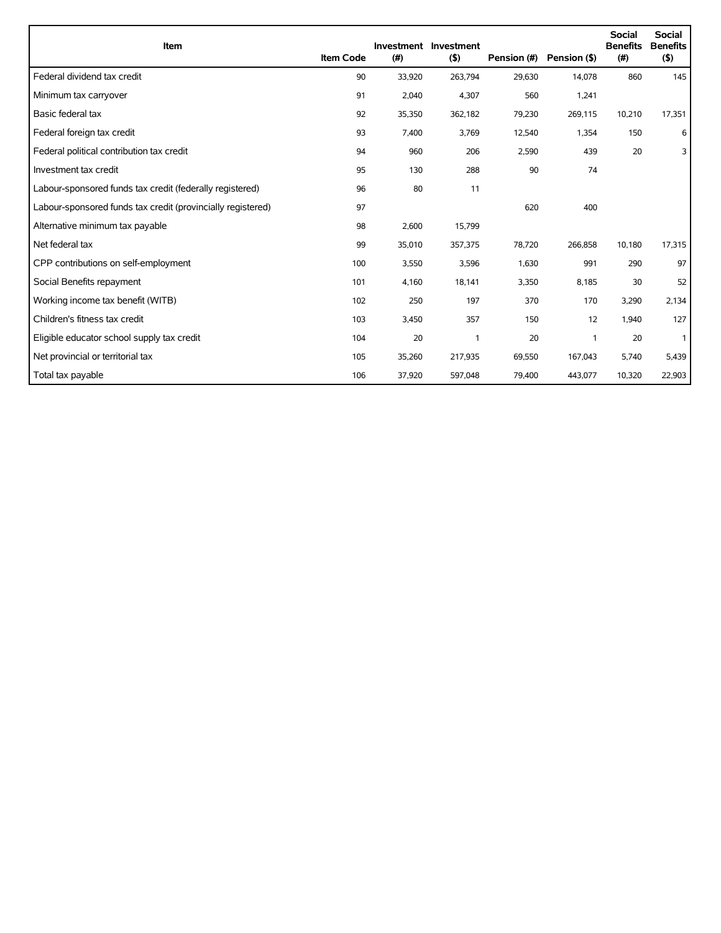| Item                                                        | <b>Item Code</b> | (#)    | Investment Investment<br>(5) | Pension (#) | Pension (\$) | <b>Social</b><br><b>Benefits</b><br>(#) | Social<br><b>Benefits</b><br>(5) |
|-------------------------------------------------------------|------------------|--------|------------------------------|-------------|--------------|-----------------------------------------|----------------------------------|
| Federal dividend tax credit                                 | 90               | 33,920 | 263,794                      | 29,630      | 14,078       | 860                                     | 145                              |
| Minimum tax carryover                                       | 91               | 2,040  | 4,307                        | 560         | 1,241        |                                         |                                  |
| Basic federal tax                                           | 92               | 35,350 | 362,182                      | 79,230      | 269,115      | 10,210                                  | 17,351                           |
| Federal foreign tax credit                                  | 93               | 7,400  | 3,769                        | 12,540      | 1,354        | 150                                     | 6                                |
| Federal political contribution tax credit                   | 94               | 960    | 206                          | 2,590       | 439          | 20                                      | 3                                |
| Investment tax credit                                       | 95               | 130    | 288                          | 90          | 74           |                                         |                                  |
| Labour-sponsored funds tax credit (federally registered)    | 96               | 80     | 11                           |             |              |                                         |                                  |
| Labour-sponsored funds tax credit (provincially registered) | 97               |        |                              | 620         | 400          |                                         |                                  |
| Alternative minimum tax payable                             | 98               | 2,600  | 15,799                       |             |              |                                         |                                  |
| Net federal tax                                             | 99               | 35,010 | 357,375                      | 78,720      | 266,858      | 10,180                                  | 17,315                           |
| CPP contributions on self-employment                        | 100              | 3,550  | 3,596                        | 1,630       | 991          | 290                                     | 97                               |
| Social Benefits repayment                                   | 101              | 4,160  | 18,141                       | 3,350       | 8,185        | 30                                      | 52                               |
| Working income tax benefit (WITB)                           | 102              | 250    | 197                          | 370         | 170          | 3,290                                   | 2,134                            |
| Children's fitness tax credit                               | 103              | 3,450  | 357                          | 150         | 12           | 1,940                                   | 127                              |
| Eligible educator school supply tax credit                  | 104              | 20     | $\overline{\phantom{a}}$     | 20          | $\mathbf{1}$ | 20                                      | $\mathbf{1}$                     |
| Net provincial or territorial tax                           | 105              | 35,260 | 217,935                      | 69,550      | 167,043      | 5,740                                   | 5,439                            |
| Total tax payable                                           | 106              | 37,920 | 597,048                      | 79,400      | 443,077      | 10,320                                  | 22,903                           |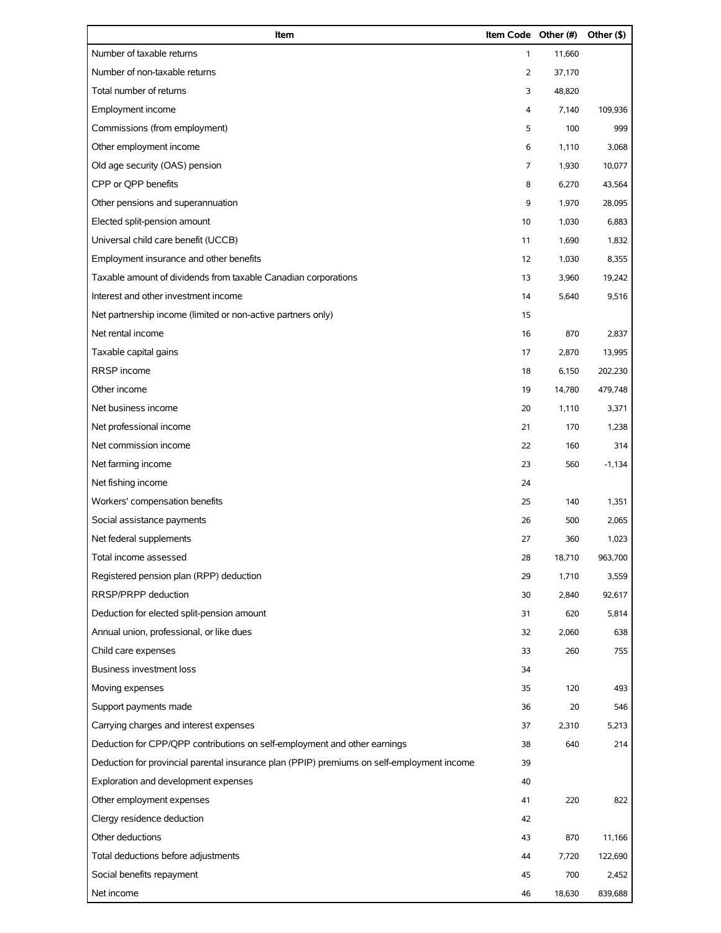| Item                                                                                       | Item Code Other (#) |        | Other (\$) |
|--------------------------------------------------------------------------------------------|---------------------|--------|------------|
| Number of taxable returns                                                                  | $\mathbf{1}$        | 11,660 |            |
| Number of non-taxable returns                                                              | 2                   | 37,170 |            |
| Total number of returns                                                                    | 3                   | 48,820 |            |
| Employment income                                                                          | 4                   | 7,140  | 109,936    |
| Commissions (from employment)                                                              | 5                   | 100    | 999        |
| Other employment income                                                                    | 6                   | 1,110  | 3,068      |
| Old age security (OAS) pension                                                             | 7                   | 1,930  | 10,077     |
| CPP or QPP benefits                                                                        | 8                   | 6,270  | 43,564     |
| Other pensions and superannuation                                                          | 9                   | 1,970  | 28,095     |
| Elected split-pension amount                                                               | 10                  | 1,030  | 6,883      |
| Universal child care benefit (UCCB)                                                        | 11                  | 1,690  | 1,832      |
| Employment insurance and other benefits                                                    | 12                  | 1,030  | 8,355      |
| Taxable amount of dividends from taxable Canadian corporations                             | 13                  | 3,960  | 19,242     |
| Interest and other investment income                                                       | 14                  | 5,640  | 9,516      |
| Net partnership income (limited or non-active partners only)                               | 15                  |        |            |
| Net rental income                                                                          | 16                  | 870    | 2,837      |
| Taxable capital gains                                                                      | 17                  | 2,870  | 13,995     |
| RRSP income                                                                                | 18                  | 6,150  | 202,230    |
| Other income                                                                               | 19                  | 14,780 | 479,748    |
| Net business income                                                                        | 20                  | 1,110  | 3,371      |
| Net professional income                                                                    | 21                  | 170    | 1,238      |
| Net commission income                                                                      | 22                  | 160    | 314        |
| Net farming income                                                                         | 23                  | 560    | $-1,134$   |
| Net fishing income                                                                         | 24                  |        |            |
| Workers' compensation benefits                                                             | 25                  | 140    | 1,351      |
| Social assistance payments                                                                 | 26                  | 500    | 2,065      |
| Net federal supplements                                                                    | 27                  | 360    | 1,023      |
| Total income assessed                                                                      | 28                  | 18,710 | 963,700    |
| Registered pension plan (RPP) deduction                                                    | 29                  | 1,710  | 3,559      |
| RRSP/PRPP deduction                                                                        | 30                  | 2,840  | 92,617     |
| Deduction for elected split-pension amount                                                 | 31                  | 620    | 5,814      |
| Annual union, professional, or like dues                                                   | 32                  | 2,060  | 638        |
| Child care expenses                                                                        | 33                  | 260    | 755        |
| <b>Business investment loss</b>                                                            | 34                  |        |            |
| Moving expenses                                                                            | 35                  | 120    | 493        |
| Support payments made                                                                      | 36                  | 20     | 546        |
| Carrying charges and interest expenses                                                     | 37                  | 2,310  | 5,213      |
| Deduction for CPP/QPP contributions on self-employment and other earnings                  | 38                  | 640    | 214        |
| Deduction for provincial parental insurance plan (PPIP) premiums on self-employment income | 39                  |        |            |
| Exploration and development expenses                                                       | 40                  |        |            |
| Other employment expenses                                                                  | 41                  | 220    | 822        |
| Clergy residence deduction                                                                 | 42                  |        |            |
| Other deductions                                                                           | 43                  | 870    | 11,166     |
| Total deductions before adjustments                                                        | 44                  | 7,720  | 122,690    |
| Social benefits repayment                                                                  | 45                  | 700    | 2,452      |
| Net income                                                                                 | 46                  | 18,630 | 839,688    |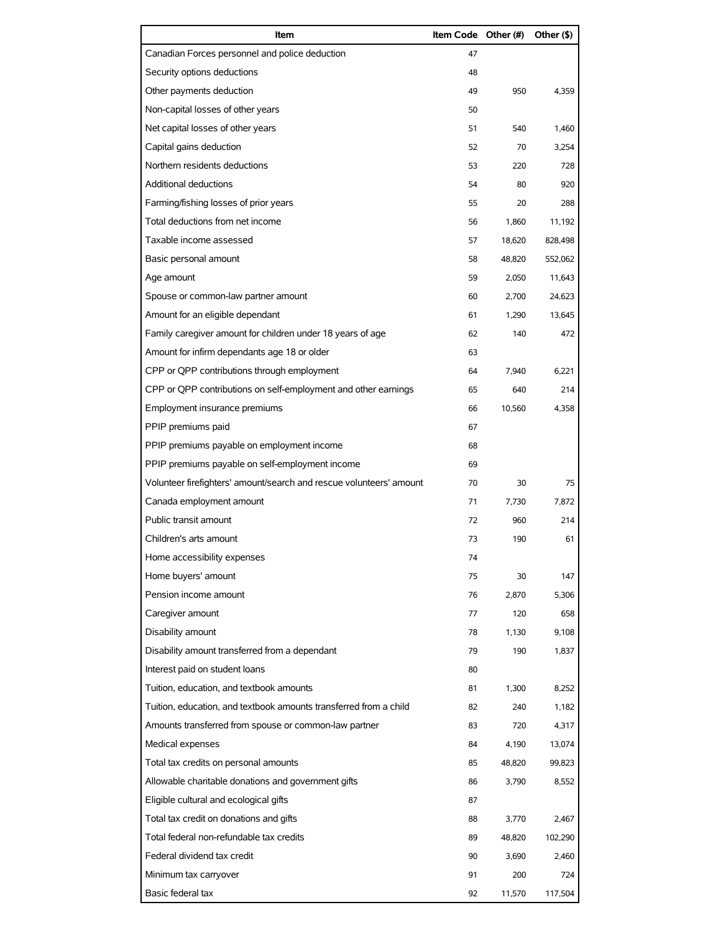| Item                                                                | Item Code Other (#) |        | Other (\$) |
|---------------------------------------------------------------------|---------------------|--------|------------|
| Canadian Forces personnel and police deduction                      | 47                  |        |            |
| Security options deductions                                         | 48                  |        |            |
| Other payments deduction                                            | 49                  | 950    | 4,359      |
| Non-capital losses of other years                                   | 50                  |        |            |
| Net capital losses of other years                                   | 51                  | 540    | 1,460      |
| Capital gains deduction                                             | 52                  | 70     | 3,254      |
| Northern residents deductions                                       | 53                  | 220    | 728        |
| Additional deductions                                               | 54                  | 80     | 920        |
| Farming/fishing losses of prior years                               | 55                  | 20     | 288        |
| Total deductions from net income                                    | 56                  | 1,860  | 11,192     |
| Taxable income assessed                                             | 57                  | 18,620 | 828,498    |
| Basic personal amount                                               | 58                  | 48,820 | 552,062    |
| Age amount                                                          | 59                  | 2,050  | 11,643     |
| Spouse or common-law partner amount                                 | 60                  | 2,700  | 24,623     |
| Amount for an eligible dependant                                    | 61                  | 1,290  | 13,645     |
| Family caregiver amount for children under 18 years of age          | 62                  | 140    | 472        |
| Amount for infirm dependants age 18 or older                        | 63                  |        |            |
| CPP or QPP contributions through employment                         | 64                  | 7,940  | 6,221      |
| CPP or QPP contributions on self-employment and other earnings      | 65                  | 640    | 214        |
| Employment insurance premiums                                       | 66                  | 10,560 | 4,358      |
| PPIP premiums paid                                                  | 67                  |        |            |
| PPIP premiums payable on employment income                          | 68                  |        |            |
| PPIP premiums payable on self-employment income                     | 69                  |        |            |
| Volunteer firefighters' amount/search and rescue volunteers' amount | 70                  | 30     | 75         |
| Canada employment amount                                            | 71                  | 7,730  | 7,872      |
| Public transit amount                                               | 72                  | 960    | 214        |
| Children's arts amount                                              | 73                  | 190    | 61         |
| Home accessibility expenses                                         | 74                  |        |            |
| Home buyers' amount                                                 | 75                  | 30     | 147        |
| Pension income amount                                               | 76                  | 2.870  | 5,306      |
| Caregiver amount                                                    | 77                  | 120    | 658        |
| Disability amount                                                   | 78                  | 1,130  | 9,108      |
| Disability amount transferred from a dependant                      | 79                  | 190    | 1,837      |
| Interest paid on student loans                                      | 80                  |        |            |
| Tuition, education, and textbook amounts                            | 81                  | 1,300  | 8,252      |
| Tuition, education, and textbook amounts transferred from a child   | 82                  | 240    | 1,182      |
| Amounts transferred from spouse or common-law partner               | 83                  | 720    | 4,317      |
| Medical expenses                                                    | 84                  | 4,190  | 13,074     |
| Total tax credits on personal amounts                               | 85                  | 48,820 | 99,823     |
| Allowable charitable donations and government gifts                 | 86                  | 3,790  | 8,552      |
| Eligible cultural and ecological gifts                              | 87                  |        |            |
| Total tax credit on donations and gifts                             | 88                  | 3,770  | 2,467      |
| Total federal non-refundable tax credits                            | 89                  | 48,820 | 102,290    |
| Federal dividend tax credit                                         | 90                  | 3,690  | 2,460      |
| Minimum tax carryover                                               | 91                  | 200    | 724        |
| Basic federal tax                                                   | 92                  | 11,570 | 117,504    |